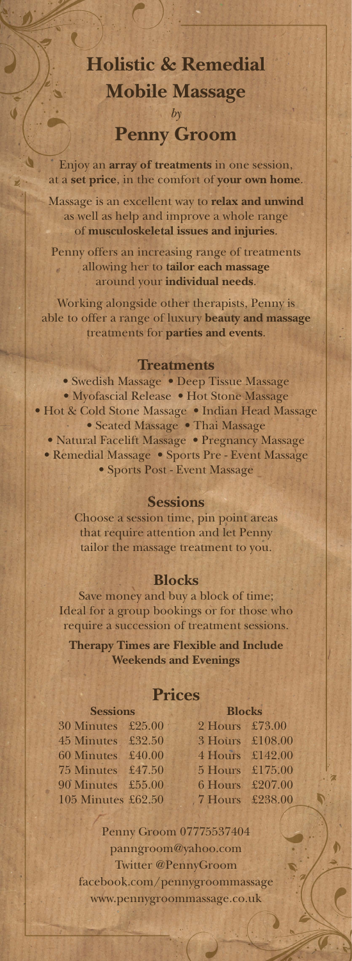# **Holistic & Remedial Mobile Massage** *by* **Penny Groom**

Enjoy an **array of treatments** in one session, at a **set price**, in the comfort of **your own home**.

 $\mathcal{C}$ 

Massage is an excellent way to **relax and unwind** as well as help and improve a whole range of **musculoskeletal issues and injuries**.

Penny offers an increasing range of treatments allowing her to **tailor each massage** around your **individual needs**.

Working alongside other therapists, Penny is able to offer a range of luxury **beauty and massage** treatments for **parties and events**.

### **Treatments**

• Swedish Massage • Deep Tissue Massage • Myofascial Release • Hot Stone Massage • Hot & Cold Stone Massage • Indian Head Massage • Seated Massage • Thai Massage • Natural Facelift Massage • Pregnancy Massage • Remedial Massage • Sports Pre - Event Massage • Sports Post - Event Massage

#### **Sessions**

Choose a session time, pin point areas that require attention and let Penny tailor the massage treatment to you.

### **Blocks**

Save money and buy a block of time; Ideal for a group bookings or for those who require a succession of treatment sessions.

**Therapy Times are Flexible and Include Weekends and Evenings**

### **Prices**

| <b>Sessions</b>    |  | <b>Blocks</b>   |  |
|--------------------|--|-----------------|--|
| 30 Minutes £25.00  |  | 2 Hours £73.00  |  |
| 45 Minutes £32.50  |  | 3 Hours £108.00 |  |
| 60 Minutes £40.00  |  | 4 Hours £142.00 |  |
| 75 Minutes £47.50  |  | 5 Hours £175.00 |  |
| 90 Minutes £55.00  |  | 6 Hours £207.00 |  |
| 105 Minutes £62.50 |  | 7 Hours £238.00 |  |

 $\mathbf \overline{\mathbf \mathbf \Omega}$ 

Penny Groom 07775537404 panngroom@yahoo.com Twitter @PennyGroom facebook.com/pennygroommassage www.pennygroommassage.co.uk